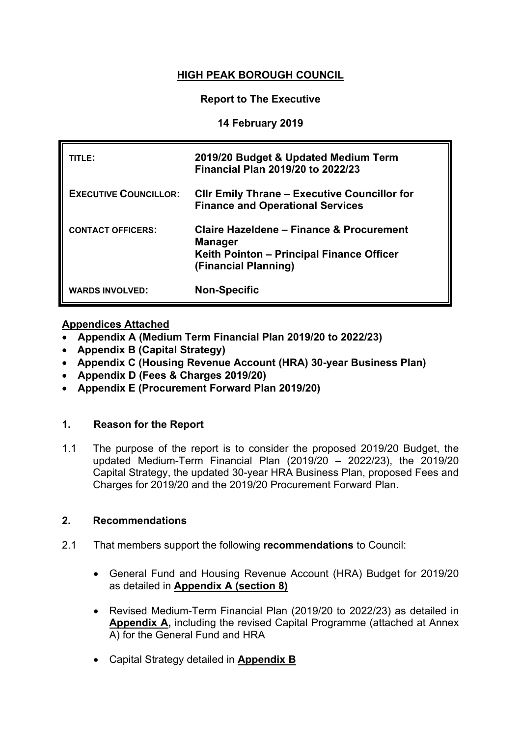# **HIGH PEAK BOROUGH COUNCIL**

#### **Report to The Executive**

#### **14 February 2019**

| TITLE:                       | 2019/20 Budget & Updated Medium Term<br><b>Financial Plan 2019/20 to 2022/23</b>                                                |
|------------------------------|---------------------------------------------------------------------------------------------------------------------------------|
| <b>EXECUTIVE COUNCILLOR:</b> | <b>CIIr Emily Thrane – Executive Councillor for</b><br><b>Finance and Operational Services</b>                                  |
| <b>CONTACT OFFICERS:</b>     | Claire Hazeldene – Finance & Procurement<br><b>Manager</b><br>Keith Pointon - Principal Finance Officer<br>(Financial Planning) |
| <b>WARDS INVOLVED:</b>       | <b>Non-Specific</b>                                                                                                             |

# **Appendices Attached**

- **Appendix A (Medium Term Financial Plan 2019/20 to 2022/23)**
- **Appendix B (Capital Strategy)**
- **Appendix C (Housing Revenue Account (HRA) 30-year Business Plan)**
- **Appendix D (Fees & Charges 2019/20)**
- **Appendix E (Procurement Forward Plan 2019/20)**

# **1. Reason for the Report**

1.1 The purpose of the report is to consider the proposed 2019/20 Budget, the updated Medium-Term Financial Plan (2019/20 – 2022/23), the 2019/20 Capital Strategy, the updated 30-year HRA Business Plan, proposed Fees and Charges for 2019/20 and the 2019/20 Procurement Forward Plan.

# **2. Recommendations**

- 2.1 That members support the following **recommendations** to Council:
	- General Fund and Housing Revenue Account (HRA) Budget for 2019/20 as detailed in **[Appendix](file:///C:/Users/chazeldene/AppData/Local/Microsoft/Windows/Documents%20and%20Settings/cstone/Local%20Settings/astokes/AppData/Local/Microsoft/Windows/Temporary%20Internet%20Files/Content.Outlook/9RF23P99/SMDC%20-%20Budget%202012-13%20&%20MTFP%20App%20A%20(15-02-12).doc) A (section 8)**
	- Revised Medium-Term Financial Plan (2019/20 to 2022/23) as detailed in **Appendix A,** including the revised Capital Programme (attached at Annex A) for the General Fund and HRA
	- Capital Strategy detailed in **Appendix B**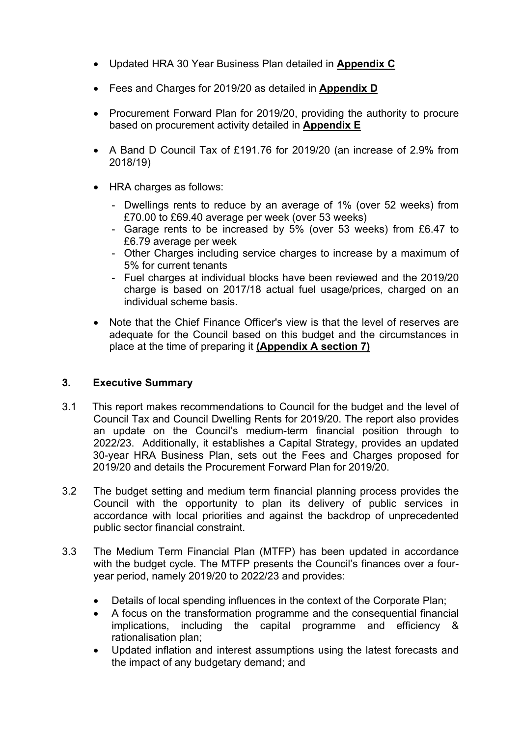- Updated HRA 30 Year Business Plan detailed in **Appendix C**
- Fees and Charges for 2019/20 as detailed in **Appendix D**
- Procurement Forward Plan for 2019/20, providing the authority to procure based on procurement activity detailed in **Appendix E**
- A Band D Council Tax of £191.76 for 2019/20 (an increase of 2.9% from 2018/19)
- HRA charges as follows:
	- Dwellings rents to reduce by an average of 1% (over 52 weeks) from £70.00 to £69.40 average per week (over 53 weeks)
	- Garage rents to be increased by 5% (over 53 weeks) from £6.47 to £6.79 average per week
	- Other Charges including service charges to increase by a maximum of 5% for current tenants
	- Fuel charges at individual blocks have been reviewed and the 2019/20 charge is based on 2017/18 actual fuel usage/prices, charged on an individual scheme basis.
- Note that the Chief Finance Officer's view is that the level of reserves are adequate for the Council based on this budget and the circumstances in place at the time of preparing it **(Appendix A section 7)**

# **3. Executive Summary**

- 3.1 This report makes recommendations to Council for the budget and the level of Council Tax and Council Dwelling Rents for 2019/20. The report also provides an update on the Council's medium-term financial position through to 2022/23. Additionally, it establishes a Capital Strategy, provides an updated 30-year HRA Business Plan, sets out the Fees and Charges proposed for 2019/20 and details the Procurement Forward Plan for 2019/20.
- 3.2 The budget setting and medium term financial planning process provides the Council with the opportunity to plan its delivery of public services in accordance with local priorities and against the backdrop of unprecedented public sector financial constraint.
- 3.3 The Medium Term Financial Plan (MTFP) has been updated in accordance with the budget cycle. The MTFP presents the Council's finances over a fouryear period, namely 2019/20 to 2022/23 and provides:
	- Details of local spending influences in the context of the Corporate Plan;
	- A focus on the transformation programme and the consequential financial implications, including the capital programme and efficiency & rationalisation plan;
	- Updated inflation and interest assumptions using the latest forecasts and the impact of any budgetary demand; and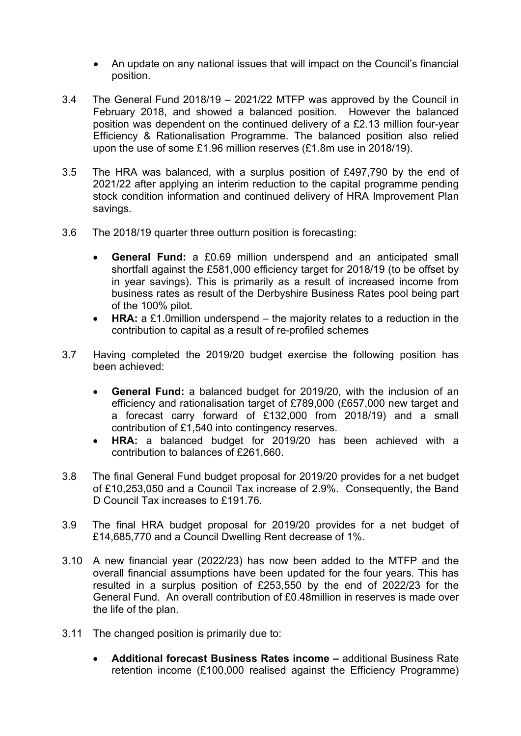- An update on any national issues that will impact on the Council's financial position.
- 3.4 The General Fund 2018/19 2021/22 MTFP was approved by the Council in February 2018, and showed a balanced position. However the balanced position was dependent on the continued delivery of a £2.13 million four-year Efficiency & Rationalisation Programme. The balanced position also relied upon the use of some £1.96 million reserves (£1.8m use in 2018/19).
- 3.5 The HRA was balanced, with a surplus position of £497,790 by the end of 2021/22 after applying an interim reduction to the capital programme pending stock condition information and continued delivery of HRA Improvement Plan savings.
- 3.6 The 2018/19 quarter three outturn position is forecasting:
	- **General Fund:** a £0.69 million underspend and an anticipated small shortfall against the £581,000 efficiency target for 2018/19 (to be offset by in year savings). This is primarily as a result of increased income from business rates as result of the Derbyshire Business Rates pool being part of the 100% pilot.
	- **HRA:** a £1.0million underspend the majority relates to a reduction in the contribution to capital as a result of re-profiled schemes
- 3.7 Having completed the 2019/20 budget exercise the following position has been achieved:
	- **General Fund:** a balanced budget for 2019/20, with the inclusion of an efficiency and rationalisation target of £789,000 (£657,000 new target and a forecast carry forward of £132,000 from 2018/19) and a small contribution of £1,540 into contingency reserves.
	- **HRA:** a balanced budget for 2019/20 has been achieved with a contribution to balances of £261,660.
- 3.8 The final General Fund budget proposal for 2019/20 provides for a net budget of £10,253,050 and a Council Tax increase of 2.9%. Consequently, the Band D Council Tax increases to £191.76.
- 3.9 The final HRA budget proposal for 2019/20 provides for a net budget of £14,685,770 and a Council Dwelling Rent decrease of 1%.
- 3.10 A new financial year (2022/23) has now been added to the MTFP and the overall financial assumptions have been updated for the four years. This has resulted in a surplus position of £253,550 by the end of 2022/23 for the General Fund. An overall contribution of £0.48million in reserves is made over the life of the plan.
- 3.11 The changed position is primarily due to:
	- **Additional forecast Business Rates income –** additional Business Rate retention income (£100,000 realised against the Efficiency Programme)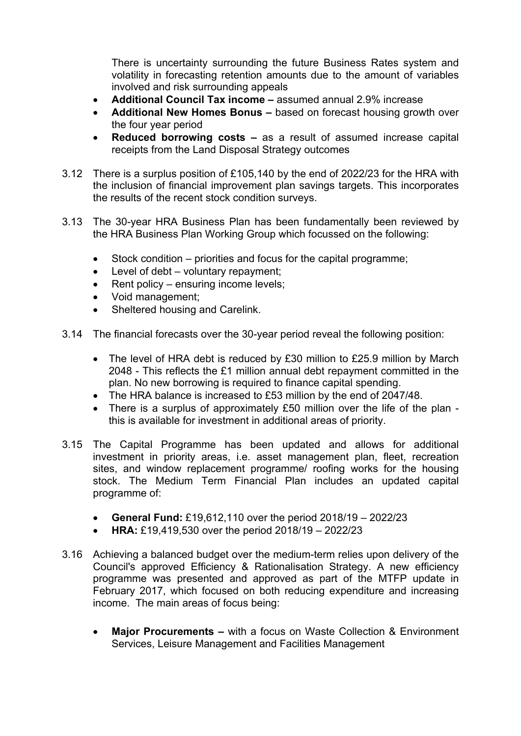There is uncertainty surrounding the future Business Rates system and volatility in forecasting retention amounts due to the amount of variables involved and risk surrounding appeals

- **Additional Council Tax income –** assumed annual 2.9% increase
- **Additional New Homes Bonus –** based on forecast housing growth over the four year period
- **Reduced borrowing costs –** as a result of assumed increase capital receipts from the Land Disposal Strategy outcomes
- 3.12 There is a surplus position of £105,140 by the end of 2022/23 for the HRA with the inclusion of financial improvement plan savings targets. This incorporates the results of the recent stock condition surveys.
- 3.13 The 30-year HRA Business Plan has been fundamentally been reviewed by the HRA Business Plan Working Group which focussed on the following:
	- Stock condition priorities and focus for the capital programme;
	- Level of debt voluntary repayment;
	- $\bullet$  Rent policy ensuring income levels;
	- Void management;
	- Sheltered housing and Carelink.
- 3.14 The financial forecasts over the 30-year period reveal the following position:
	- The level of HRA debt is reduced by £30 million to £25.9 million by March 2048 - This reflects the £1 million annual debt repayment committed in the plan. No new borrowing is required to finance capital spending.
	- The HRA balance is increased to £53 million by the end of 2047/48.
	- There is a surplus of approximately £50 million over the life of the plan this is available for investment in additional areas of priority.
- 3.15 The Capital Programme has been updated and allows for additional investment in priority areas, i.e. asset management plan, fleet, recreation sites, and window replacement programme/ roofing works for the housing stock. The Medium Term Financial Plan includes an updated capital programme of:
	- **General Fund:** £19,612,110 over the period 2018/19 2022/23
	- **HRA:** £19,419,530 over the period 2018/19 2022/23
- 3.16 Achieving a balanced budget over the medium-term relies upon delivery of the Council's approved Efficiency & Rationalisation Strategy. A new efficiency programme was presented and approved as part of the MTFP update in February 2017, which focused on both reducing expenditure and increasing income. The main areas of focus being:
	- **Major Procurements –** with a focus on Waste Collection & Environment Services, Leisure Management and Facilities Management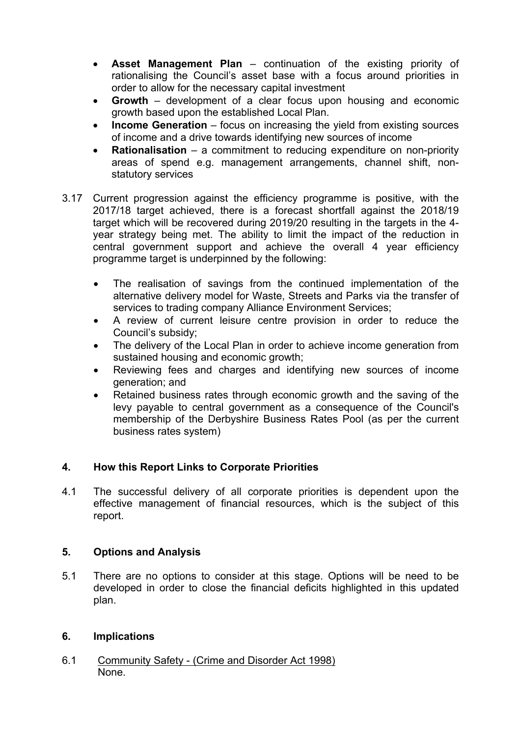- **Asset Management Plan** continuation of the existing priority of rationalising the Council's asset base with a focus around priorities in order to allow for the necessary capital investment
- **Growth** development of a clear focus upon housing and economic growth based upon the established Local Plan.
- **Income Generation** focus on increasing the yield from existing sources of income and a drive towards identifying new sources of income
- **Rationalisation** a commitment to reducing expenditure on non-priority areas of spend e.g. management arrangements, channel shift, nonstatutory services
- 3.17 Current progression against the efficiency programme is positive, with the 2017/18 target achieved, there is a forecast shortfall against the 2018/19 target which will be recovered during 2019/20 resulting in the targets in the 4 year strategy being met. The ability to limit the impact of the reduction in central government support and achieve the overall 4 year efficiency programme target is underpinned by the following:
	- The realisation of savings from the continued implementation of the alternative delivery model for Waste, Streets and Parks via the transfer of services to trading company Alliance Environment Services;
	- A review of current leisure centre provision in order to reduce the Council's subsidy;
	- The delivery of the Local Plan in order to achieve income generation from sustained housing and economic growth;
	- Reviewing fees and charges and identifying new sources of income generation; and
	- Retained business rates through economic growth and the saving of the levy payable to central government as a consequence of the Council's membership of the Derbyshire Business Rates Pool (as per the current business rates system)

# **4. How this Report Links to Corporate Priorities**

4.1 The successful delivery of all corporate priorities is dependent upon the effective management of financial resources, which is the subject of this report.

#### **5. Options and Analysis**

5.1 There are no options to consider at this stage. Options will be need to be developed in order to close the financial deficits highlighted in this updated plan.

#### **6. Implications**

6.1 Community Safety - (Crime and Disorder Act 1998) None.